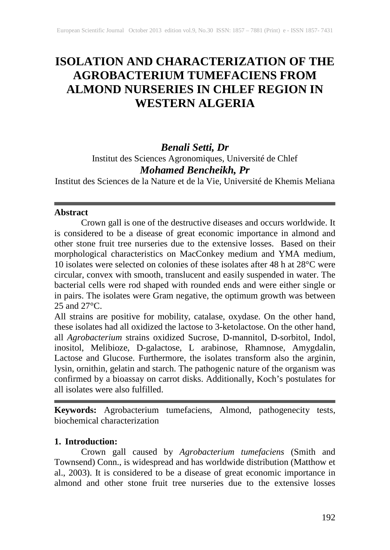# **ISOLATION AND CHARACTERIZATION OF THE AGROBACTERIUM TUMEFACIENS FROM ALMOND NURSERIES IN CHLEF REGION IN WESTERN ALGERIA**

## *Benali Setti, Dr*

Institut des Sciences Agronomiques, Université de Chlef

## *Mohamed Bencheikh, Pr*

Institut des Sciences de la Nature et de la Vie, Université de Khemis Meliana

#### **Abstract**

Crown gall is one of the destructive diseases and occurs worldwide. It is considered to be a disease of great economic importance in almond and other stone fruit tree nurseries due to the extensive losses. Based on their morphological characteristics on MacConkey medium and YMA medium, 10 isolates were selected on colonies of these isolates after 48 h at 28°C were circular, convex with smooth, translucent and easily suspended in water. The bacterial cells were rod shaped with rounded ends and were either single or in pairs. The isolates were Gram negative, the optimum growth was between  $25$  and  $27^{\circ}$ C.

All strains are positive for mobility, catalase, oxydase. On the other hand, these isolates had all oxidized the lactose to 3-ketolactose. On the other hand, all *Agrobacterium* strains oxidized Sucrose, D-mannitol, D-sorbitol, Indol, inositol, Melibioze, D-galactose, L arabinose, Rhamnose, Amygdalin, Lactose and Glucose. Furthermore, the isolates transform also the arginin, lysin, ornithin, gelatin and starch. The pathogenic nature of the organism was confirmed by a bioassay on carrot disks. Additionally, Koch's postulates for all isolates were also fulfilled.

**Keywords:** Agrobacterium tumefaciens, Almond, pathogenecity tests, biochemical characterization

## **1. Introduction:**

Crown gall caused by *Agrobacterium tumefaciens* (Smith and Townsend) Conn., is widespread and has worldwide distribution (Matthow et al., 2003). It is considered to be a disease of great economic importance in almond and other stone fruit tree nurseries due to the extensive losses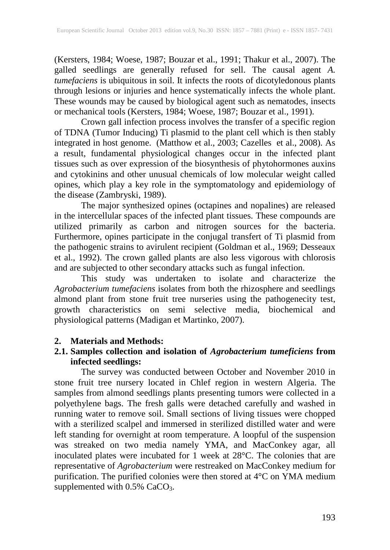(Kersters, 1984; Woese, 1987; Bouzar et al., 1991; Thakur et al., 2007). The galled seedlings are generally refused for sell. The causal agent *A. tumefaciens* is ubiquitous in soil. It infects the roots of dicotyledonous plants through lesions or injuries and hence systematically infects the whole plant. These wounds may be caused by biological agent such as nematodes, insects or mechanical tools (Kersters, 1984; Woese, 1987; Bouzar et al., 1991).

Crown gall infection process involves the transfer of a specific region of TDNA (Tumor Inducing) Ti plasmid to the plant cell which is then stably integrated in host genome. (Matthow et al., 2003; Cazelles et al., 2008). As a result, fundamental physiological changes occur in the infected plant tissues such as over expression of the biosynthesis of phytohormones auxins and cytokinins and other unusual chemicals of low molecular weight called opines, which play a key role in the symptomatology and epidemiology of the disease (Zambryski, 1989).

The major synthesized opines (octapines and nopalines) are released in the intercellular spaces of the infected plant tissues. These compounds are utilized primarily as carbon and nitrogen sources for the bacteria. Furthermore, opines participate in the conjugal transfert of Ti plasmid from the pathogenic strains to avirulent recipient (Goldman et al., 1969; Desseaux et al., 1992). The crown galled plants are also less vigorous with chlorosis and are subjected to other secondary attacks such as fungal infection.

This study was undertaken to isolate and characterize the *Agrobacterium tumefaciens* isolates from both the rhizosphere and seedlings almond plant from stone fruit tree nurseries using the pathogenecity test, growth characteristics on semi selective media, biochemical and physiological patterns (Madigan et Martinko, 2007).

#### **2. Materials and Methods:**

#### **2.1. Samples collection and isolation of** *Agrobacterium tumeficiens* **from infected seedlings:**

The survey was conducted between October and November 2010 in stone fruit tree nursery located in Chlef region in western Algeria. The samples from almond seedlings plants presenting tumors were collected in a polyethylene bags. The fresh galls were detached carefully and washed in running water to remove soil. Small sections of living tissues were chopped with a sterilized scalpel and immersed in sterilized distilled water and were left standing for overnight at room temperature. A loopful of the suspension was streaked on two media namely YMA, and MacConkey agar, all inoculated plates were incubated for 1 week at 28°C. The colonies that are representative of *Agrobacterium* were restreaked on MacConkey medium for purification. The purified colonies were then stored at 4°C on YMA medium supplemented with  $0.5\%$  CaCO<sub>3</sub>.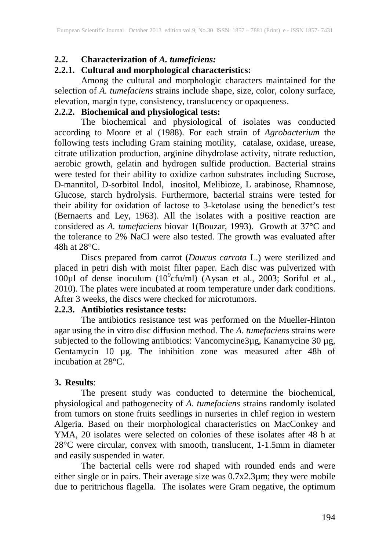#### **2.2. Characterization of** *A. tumeficiens:*

### **2.2.1. Cultural and morphological characteristics:**

Among the cultural and morphologic characters maintained for the selection of *A. tumefaciens* strains include shape, size, color, colony surface, elevation, margin type, consistency, translucency or opaqueness.

## **2.2.2. Biochemical and physiological tests:**

The biochemical and physiological of isolates was conducted according to Moore et al (1988). For each strain of *Agrobacterium* the following tests including Gram staining motility, catalase, oxidase, urease, citrate utilization production, arginine dihydrolase activity, nitrate reduction, aerobic growth, gelatin and hydrogen sulfide production. Bacterial strains were tested for their ability to oxidize carbon substrates including Sucrose, D-mannitol, D-sorbitol Indol, inositol, Melibioze, L arabinose, Rhamnose, Glucose, starch hydrolysis. Furthermore, bacterial strains were tested for their ability for oxidation of lactose to 3-ketolase using the benedict's test (Bernaerts and Ley, 1963). All the isolates with a positive reaction are considered as *A. tumefaciens* biovar 1(Bouzar, 1993). Growth at 37°C and the tolerance to 2% NaCl were also tested. The growth was evaluated after 48h at 28°C.

Discs prepared from carrot (*Daucus carrota* L.) were sterilized and placed in petri dish with moist filter paper. Each disc was pulverized with 100 $\mu$ l of dense inoculum (10 $\degree$ cfu/ml) (Aysan et al., 2003; Soriful et al., 2010). The plates were incubated at room temperature under dark conditions. After 3 weeks, the discs were checked for microtumors.

#### **2.2.3. Antibiotics resistance tests:**

The antibiotics resistance test was performed on the Mueller-Hinton agar using the in vitro disc diffusion method. The *A. tumefaciens* strains were subjected to the following antibiotics: Vancomycine3µg, Kanamycine 30 µg, Gentamycin 10 µg. The inhibition zone was measured after 48h of incubation at 28°C.

#### **3. Results**:

The present study was conducted to determine the biochemical, physiological and pathogenecity of *A. tumefaciens* strains randomly isolated from tumors on stone fruits seedlings in nurseries in chlef region in western Algeria. Based on their morphological characteristics on MacConkey and YMA, 20 isolates were selected on colonies of these isolates after 48 h at 28°C were circular, convex with smooth, translucent, 1-1.5mm in diameter and easily suspended in water.

The bacterial cells were rod shaped with rounded ends and were either single or in pairs. Their average size was 0.7x2.3µm; they were mobile due to peritrichous flagella. The isolates were Gram negative, the optimum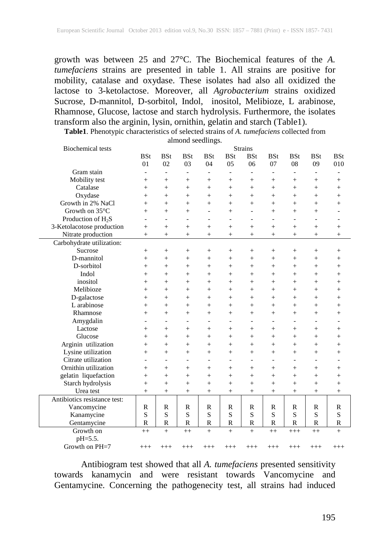growth was between 25 and 27°C. The Biochemical features of the *A. tumefaciens* strains are presented in table 1. All strains are positive for mobility, catalase and oxydase. These isolates had also all oxidized the lactose to 3-ketolactose. Moreover, all *Agrobacterium* strains oxidized Sucrose, D-mannitol, D-sorbitol, Indol, inositol, Melibioze, L arabinose, Rhamnose, Glucose, lactose and starch hydrolysis. Furthermore, the isolates transform also the arginin, lysin, ornithin, gelatin and starch (Table1).

**Table1**. Phenotypic characteristics of selected strains of *A. tumefaciens* collected from almond seedlings.

| <b>Biochemical</b> tests     | <b>Strains</b> |                |                          |                          |                 |                          |                          |                          |                          |              |  |
|------------------------------|----------------|----------------|--------------------------|--------------------------|-----------------|--------------------------|--------------------------|--------------------------|--------------------------|--------------|--|
|                              | <b>BSt</b>     | <b>BSt</b>     | <b>BSt</b>               | <b>BSt</b>               | <b>BSt</b>      | <b>BSt</b>               | <b>BSt</b>               | <b>BSt</b>               | <b>BSt</b>               | <b>BSt</b>   |  |
|                              | 01             | 02             | 03                       | 04                       | 05              | 06                       | 07                       | 08                       | 09                       | 010          |  |
| Gram stain                   | $\overline{a}$ | $\frac{1}{2}$  | $\blacksquare$           | $\overline{\phantom{a}}$ | $\overline{a}$  | $\overline{\phantom{a}}$ | $\overline{\phantom{0}}$ | $\overline{a}$           | $\overline{\phantom{a}}$ |              |  |
| Mobility test                | $^{+}$         | $+$            | $^{+}$                   | $+$                      | $^{+}$          | $^{+}$                   | $+$                      | $^{+}$                   | $^{+}$                   | $+$          |  |
| Catalase                     | $^{+}$         | $+$            | $^{+}$                   | $+$                      | $^{+}$          | $^{+}$                   | $+$                      | $^{+}$                   | $+$                      | $+$          |  |
| Oxydase                      | $^{+}$         | $^{+}$         | $^{+}$                   | $^{+}$                   | $^{+}$          | $^{+}$                   | $^{+}$                   | $^{+}$                   | $^{+}$                   | $\ddot{}$    |  |
| Growth in 2% NaCl            | $^{+}$         | $^{+}$         | $^{+}$                   | $^{+}$                   | $^{+}$          | $^{+}$                   | $+$                      | $^{+}$                   | $^{+}$                   | $\ddot{}$    |  |
| Growth on 35°C               | $^{+}$         | $+$            | $^{+}$                   | $\qquad \qquad -$        | $^{+}$          | $\overline{a}$           | $^{+}$                   | $^{+}$                   | $+$                      |              |  |
| Production of $H_2S$         | $\overline{a}$ | $\overline{a}$ | $\overline{a}$           | $\overline{a}$           | $\overline{a}$  | $\overline{\phantom{a}}$ | $\overline{a}$           | $\overline{a}$           | $\overline{a}$           |              |  |
| 3-Ketolacotose production    | $^{+}$         | $^{+}$         | $^{+}$                   | $^{+}$                   | $^{+}$          | $^{+}$                   | $^{+}$                   | $^{+}$                   | $^{+}$                   | $+$          |  |
| Nitrate production           | $^{+}$         | $+$            | $^{+}$                   | $+$                      | $^{+}$          | $^{+}$                   | $+$                      | $^{+}$                   | $+$                      | $+$          |  |
| Carbohydrate utilization:    |                |                |                          |                          |                 |                          |                          |                          |                          |              |  |
| Sucrose                      | $^{+}$         | $^+$           | $^+$                     | $^{+}$                   | $^{+}$          | $^{+}$                   | $^{+}$                   | $^{+}$                   | $^+$                     | $^{+}$       |  |
| D-mannitol                   | $^{+}$         | $+$            | $^{+}$                   | $+$                      | $+$             | $^{+}$                   | $^{+}$                   | $^{+}$                   | $+$                      | $^{+}$       |  |
| D-sorbitol                   | $^{+}$         | $+$            | $^{+}$                   | $+$                      | $^{+}$          | $^{+}$                   | $^{+}$                   | $^{+}$                   | $+$                      | $^{+}$       |  |
| Indol                        | $^{+}$         | $+$            | $^{+}$                   | $+$                      | $^{+}$          | $^{+}$                   | $+$                      | $^{+}$                   | $+$                      | $\ddot{}$    |  |
| inositol                     | $^{+}$         | $\ddot{}$      | $^{+}$                   | $+$                      | $^{+}$          | $^{+}$                   | $+$                      | $^{+}$                   | $+$                      | $\ddot{}$    |  |
| Melibioze                    | $^{+}$         | $+$            | $^{+}$                   | $^{+}$                   | $^{+}$          | $^{+}$                   | $^{+}$                   | $^{+}$                   | $+$                      | $\ddot{}$    |  |
| D-galactose                  | $^{+}$         | $^{+}$         | $^{+}$                   | $^{+}$                   | $^{+}$          | $^{+}$                   | $\! + \!\!\!\!$          | $^{+}$                   | $^{+}$                   | $^{+}$       |  |
| L arabinose                  | $^{+}$         | $^{+}$         | $^{+}$                   | $^{+}$                   | $+$             | $^{+}$                   | $+$                      | $^{+}$                   | $+$                      | $\ddot{}$    |  |
| Rhamnose                     | $^{+}$         | $+$            | $^{+}$                   | $+$                      | $^{+}$          | $^{+}$                   | $^{+}$                   | $^{+}$                   | $+$                      | $^{+}$       |  |
| Amygdalin                    |                | $\overline{a}$ | $\overline{a}$           | $\overline{a}$           | $\overline{a}$  | $\overline{a}$           |                          | $\overline{\phantom{0}}$ | $\overline{a}$           |              |  |
| Lactose                      | $^{+}$         | $^{+}$         | $^{+}$                   | $+$                      | $^{+}$          | $^{+}$                   | $+$                      | $^{+}$                   | $+$                      | $+$          |  |
| Glucose                      | $^{+}$         | $+$            | $^{+}$                   | $+$                      | $^{+}$          | $^{+}$                   | $^{+}$                   | $^{+}$                   | $^{+}$                   | $+$          |  |
| Arginin utilization          | $^{+}$         | $+$            | $^{+}$                   | $+$                      | $+$             | $^{+}$                   | $^{+}$                   | $^{+}$                   | $+$                      | $\ddot{}$    |  |
| Lysine utilization           | $^{+}$         | $^{+}$         | $^{+}$                   | $+$                      | $+$             | $^{+}$                   | $^{+}$                   | $^{+}$                   | $+$                      | $\ddot{}$    |  |
| Citrate utilization          | $\overline{a}$ | $\overline{a}$ | $\overline{\phantom{a}}$ | $\overline{a}$           | $\overline{a}$  | $\overline{a}$           | $\overline{a}$           | $\overline{a}$           | $\overline{a}$           |              |  |
| Ornithin utilization         | $^{+}$         | $^{+}$         | $^{+}$                   | $^{+}$                   | $^{+}$          | $^{+}$                   | $+$                      | $^{+}$                   | $^{+}$                   | $^{+}$       |  |
| gelatin liquefaction         | $^{+}$         | $^{+}$         | $^{+}$                   | $^{+}$                   | $^{+}$          | $^{+}$                   | $^{+}$                   | $^{+}$                   | $+$                      | $^{+}$       |  |
| Starch hydrolysis            | $^{+}$         | $+$            | $^{+}$                   | $^{+}$                   | $^{+}$          | $^{+}$                   | $^{+}$                   | $^{+}$                   | $+$                      | $^{+}$       |  |
| Urea test                    | $^{+}$         | $^{+}$         | $^{+}$                   | $\! + \!\!\!\!$          | $\! + \!\!\!\!$ | $^{+}$                   | $\! + \!\!\!\!$          | $^{+}$                   | $^{+}$                   | $^{+}$       |  |
| Antibiotics resistance test: |                |                |                          |                          |                 |                          |                          |                          |                          |              |  |
| Vancomycine                  | R              | $\mathbb{R}$   | $\mathbb{R}$             | $\mathbb{R}$             | $\mathbb{R}$    | $\mathbb{R}$             | R                        | R                        | R                        | R            |  |
| Kanamycine                   | S              | S              | S                        | S                        | S               | S                        | S                        | S                        | S                        | S            |  |
| Gentamycine                  | $\mathbb{R}$   | $\mathbb{R}$   | $\mathbb{R}$             | $\mathbb{R}$             | $\mathbb{R}$    | $\mathbb{R}$             | $\mathbb{R}$             | $\mathbb{R}$             | $\mathbb{R}$             | $\mathbb{R}$ |  |
| Growth on                    | $++$           | $+$            | $^{++}$                  | $+$                      | $^{+}$          | $+$                      | $++$                     | $+++$                    | $^{++}$                  | $+$          |  |
| pH=5.5.                      |                |                |                          |                          |                 |                          |                          |                          |                          |              |  |
| Growth on PH=7               | $^{+++}$       | $^{+++}$       | $^{+++}$                 | $^{+++}$                 | $^{+++}$        | $^{+++}$                 | $^{+++}$                 | $^{+++}$                 | $^{+++}$                 | $^{+++}$     |  |

Antibiogram test showed that all *A. tumefaciens* presented sensitivity towards kanamycin and were resistant towards Vancomycine and Gentamycine. Concerning the pathogenecity test, all strains had induced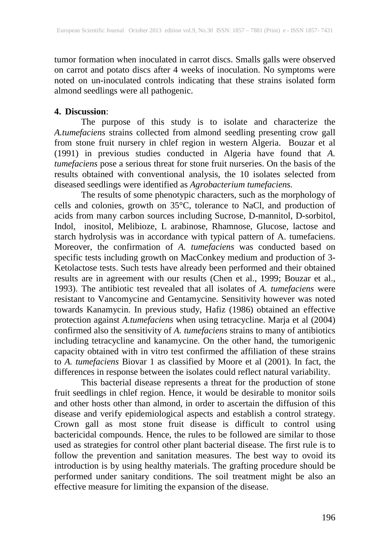tumor formation when inoculated in carrot discs. Smalls galls were observed on carrot and potato discs after 4 weeks of inoculation. No symptoms were noted on un-inoculated controls indicating that these strains isolated form almond seedlings were all pathogenic.

#### **4. Discussion**:

The purpose of this study is to isolate and characterize the *A.tumefaciens* strains collected from almond seedling presenting crow gall from stone fruit nursery in chlef region in western Algeria. Bouzar et al (1991) in previous studies conducted in Algeria have found that *A. tumefaciens* pose a serious threat for stone fruit nurseries. On the basis of the results obtained with conventional analysis, the 10 isolates selected from diseased seedlings were identified as *Agrobacterium tumefaciens.*

The results of some phenotypic characters, such as the morphology of cells and colonies, growth on 35°C, tolerance to NaCl, and production of acids from many carbon sources including Sucrose, D-mannitol, D-sorbitol, Indol, inositol, Melibioze, L arabinose, Rhamnose, Glucose, lactose and starch hydrolysis was in accordance with typical pattern of A. tumefaciens. Moreover, the confirmation of *A. tumefaciens* was conducted based on specific tests including growth on MacConkey medium and production of 3- Ketolactose tests. Such tests have already been performed and their obtained results are in agreement with our results (Chen et al., 1999; Bouzar et al., 1993). The antibiotic test revealed that all isolates of *A. tumefaciens* were resistant to Vancomycine and Gentamycine. Sensitivity however was noted towards Kanamycin. In previous study, Hafiz (1986) obtained an effective protection against *A.tumefaciens* when using tetracycline. Marja et al (2004) confirmed also the sensitivity of *A. tumefaciens* strains to many of antibiotics including tetracycline and kanamycine. On the other hand, the tumorigenic capacity obtained with in vitro test confirmed the affiliation of these strains to *A. tumefaciens* Biovar 1 as classified by Moore et al (2001). In fact, the differences in response between the isolates could reflect natural variability.

This bacterial disease represents a threat for the production of stone fruit seedlings in chlef region. Hence, it would be desirable to monitor soils and other hosts other than almond, in order to ascertain the diffusion of this disease and verify epidemiological aspects and establish a control strategy. Crown gall as most stone fruit disease is difficult to control using bactericidal compounds. Hence, the rules to be followed are similar to those used as strategies for control other plant bacterial disease. The first rule is to follow the prevention and sanitation measures. The best way to ovoid its introduction is by using healthy materials. The grafting procedure should be performed under sanitary conditions. The soil treatment might be also an effective measure for limiting the expansion of the disease.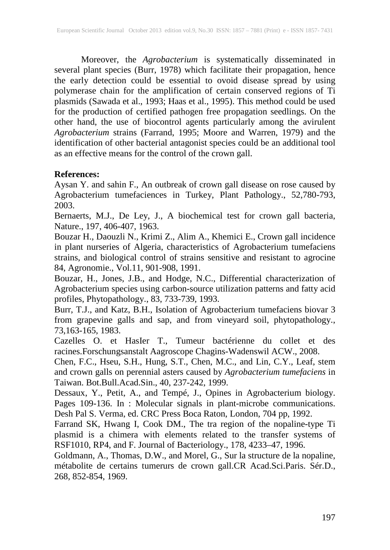Moreover, the *Agrobacterium* is systematically disseminated in several plant species (Burr, 1978) which facilitate their propagation, hence the early detection could be essential to ovoid disease spread by using polymerase chain for the amplification of certain conserved regions of Ti plasmids (Sawada et al., 1993; Haas et al., 1995). This method could be used for the production of certified pathogen free propagation seedlings. On the other hand, the use of biocontrol agents particularly among the avirulent *Agrobacterium* strains (Farrand, 1995; Moore and Warren, 1979) and the identification of other bacterial antagonist species could be an additional tool as an effective means for the control of the crown gall.

#### **References:**

Aysan Y. and sahin F., An outbreak of crown gall disease on rose caused by Agrobacterium tumefaciences in Turkey, Plant Pathology., 52,780-793, 2003.

Bernaerts, M.J., De Ley, J., A biochemical test for crown gall bacteria, Nature., 197, 406-407, 1963.

Bouzar H., Daouzli N., Krimi Z., Alim A., Khemici E., Crown gall incidence in plant nurseries of Algeria, characteristics of Agrobacterium tumefaciens strains, and biological control of strains sensitive and resistant to agrocine 84, Agronomie., Vol.11, 901-908, 1991.

Bouzar, H., Jones, J.B., and Hodge, N.C., Differential characterization of Agrobacterium species using carbon-source utilization patterns and fatty acid profiles, Phytopathology., 83, 733-739, 1993.

Burr, T.J., and Katz, B.H., Isolation of Agrobacterium tumefaciens biovar 3 from grapevine galls and sap, and from vineyard soil, phytopathology., 73,163-165, 1983.

Cazelles O. et HasIer T., Tumeur bactérienne du collet et des racines.Forschungsanstalt Aagroscope Chagins-Wadenswil ACW., 2008.

Chen, F.C., Hseu, S.H., Hung, S.T., Chen, M.C., and Lin, C.Y., Leaf, stem and crown galls on perennial asters caused by *Agrobacterium tumefaciens* in Taiwan. Bot.Bull.Acad.Sin., 40, 237-242, 1999.

Dessaux, Y., Petit, A., and Tempé, J., Opines in Agrobacterium biology. Pages 109-136. In : Molecular signals in plant-microbe communications. Desh Pal S. Verma, ed. CRC Press Boca Raton, London, 704 pp, 1992.

Farrand SK, Hwang I, Cook DM., The tra region of the nopaline-type Ti plasmid is a chimera with elements related to the transfer systems of RSF1010, RP4, and F. Journal of Bacteriology., 178, 4233–47, 1996.

Goldmann, A., Thomas, D.W., and Morel, G., Sur la structure de la nopaline, métabolite de certains tumerurs de crown gall.CR Acad.Sci.Paris. Sér.D., 268, 852-854, 1969.